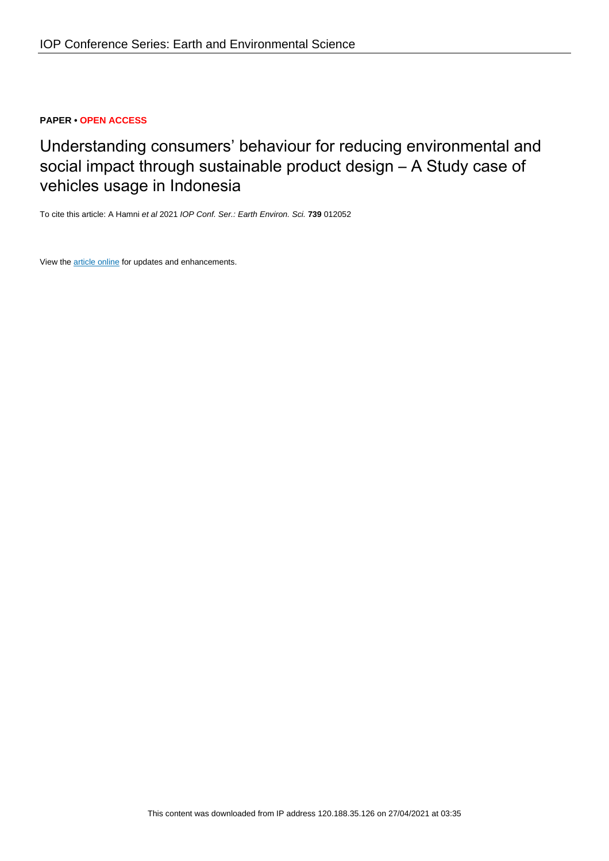# **PAPER • OPEN ACCESS**

# Understanding consumers' behaviour for reducing environmental and social impact through sustainable product design – A Study case of vehicles usage in Indonesia

To cite this article: A Hamni et al 2021 IOP Conf. Ser.: Earth Environ. Sci. **739** 012052

View the [article online](https://doi.org/10.1088/1755-1315/739/1/012052) for updates and enhancements.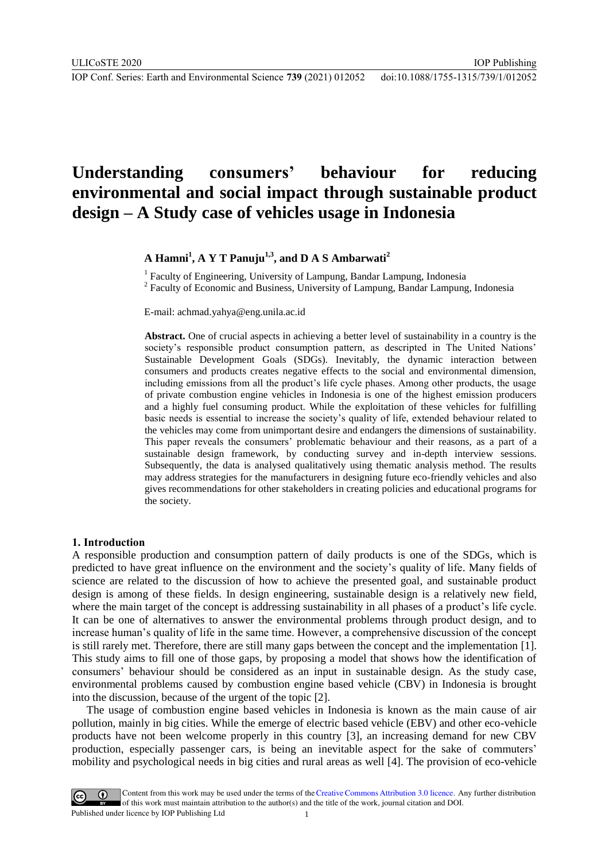IOP Publishing

# **Understanding consumers' behaviour for reducing environmental and social impact through sustainable product design – A Study case of vehicles usage in Indonesia**

# **A Hamni<sup>1</sup> , A Y T Panuju1,3, and D A S Ambarwati<sup>2</sup>**

<sup>1</sup> Faculty of Engineering, University of Lampung, Bandar Lampung, Indonesia <sup>2</sup> Faculty of Economic and Business, University of Lampung, Bandar Lampung, Indonesia

E-mail: achmad.yahya@eng.unila.ac.id

**Abstract.** One of crucial aspects in achieving a better level of sustainability in a country is the society's responsible product consumption pattern, as descripted in The United Nations' Sustainable Development Goals (SDGs). Inevitably, the dynamic interaction between consumers and products creates negative effects to the social and environmental dimension, including emissions from all the product's life cycle phases. Among other products, the usage of private combustion engine vehicles in Indonesia is one of the highest emission producers and a highly fuel consuming product. While the exploitation of these vehicles for fulfilling basic needs is essential to increase the society's quality of life, extended behaviour related to the vehicles may come from unimportant desire and endangers the dimensions of sustainability. This paper reveals the consumers' problematic behaviour and their reasons, as a part of a sustainable design framework, by conducting survey and in-depth interview sessions. Subsequently, the data is analysed qualitatively using thematic analysis method. The results may address strategies for the manufacturers in designing future eco-friendly vehicles and also gives recommendations for other stakeholders in creating policies and educational programs for the society.

#### **1. Introduction**

A responsible production and consumption pattern of daily products is one of the SDGs, which is predicted to have great influence on the environment and the society's quality of life. Many fields of science are related to the discussion of how to achieve the presented goal, and sustainable product design is among of these fields. In design engineering, sustainable design is a relatively new field, where the main target of the concept is addressing sustainability in all phases of a product's life cycle. It can be one of alternatives to answer the environmental problems through product design, and to increase human's quality of life in the same time. However, a comprehensive discussion of the concept is still rarely met. Therefore, there are still many gaps between the concept and the implementation [1]. This study aims to fill one of those gaps, by proposing a model that shows how the identification of consumers' behaviour should be considered as an input in sustainable design. As the study case, environmental problems caused by combustion engine based vehicle (CBV) in Indonesia is brought into the discussion, because of the urgent of the topic [2].

The usage of combustion engine based vehicles in Indonesia is known as the main cause of air pollution, mainly in big cities. While the emerge of electric based vehicle (EBV) and other eco-vehicle products have not been welcome properly in this country [3], an increasing demand for new CBV production, especially passenger cars, is being an inevitable aspect for the sake of commuters' mobility and psychological needs in big cities and rural areas as well [4]. The provision of eco-vehicle

Content from this work may be used under the terms of the Creative Commons Attribution 3.0 licence. Any further distribution of this work must maintain attribution to the author(s) and the title of the work, journal citation and DOI. Published under licence by IOP Publishing Ltd 1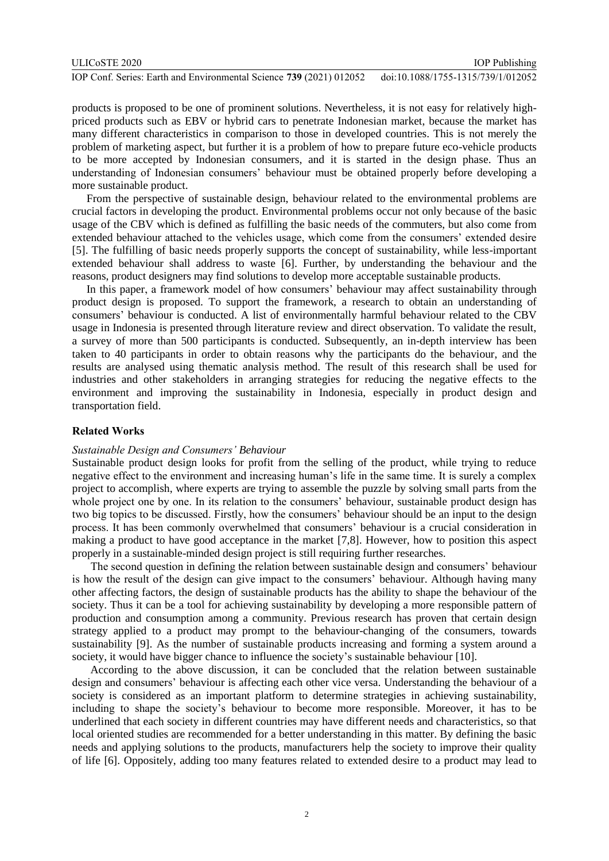| ULICoSTE 2020                                                       | <b>IOP</b> Publishing              |
|---------------------------------------------------------------------|------------------------------------|
| IOP Conf. Series: Earth and Environmental Science 739 (2021) 012052 | doi:10.1088/1755-1315/739/1/012052 |

products is proposed to be one of prominent solutions. Nevertheless, it is not easy for relatively highpriced products such as EBV or hybrid cars to penetrate Indonesian market, because the market has many different characteristics in comparison to those in developed countries. This is not merely the problem of marketing aspect, but further it is a problem of how to prepare future eco-vehicle products to be more accepted by Indonesian consumers, and it is started in the design phase. Thus an understanding of Indonesian consumers' behaviour must be obtained properly before developing a more sustainable product.

From the perspective of sustainable design, behaviour related to the environmental problems are crucial factors in developing the product. Environmental problems occur not only because of the basic usage of the CBV which is defined as fulfilling the basic needs of the commuters, but also come from extended behaviour attached to the vehicles usage, which come from the consumers' extended desire [5]. The fulfilling of basic needs properly supports the concept of sustainability, while less-important extended behaviour shall address to waste [6]. Further, by understanding the behaviour and the reasons, product designers may find solutions to develop more acceptable sustainable products.

In this paper, a framework model of how consumers' behaviour may affect sustainability through product design is proposed. To support the framework, a research to obtain an understanding of consumers' behaviour is conducted. A list of environmentally harmful behaviour related to the CBV usage in Indonesia is presented through literature review and direct observation. To validate the result, a survey of more than 500 participants is conducted. Subsequently, an in-depth interview has been taken to 40 participants in order to obtain reasons why the participants do the behaviour, and the results are analysed using thematic analysis method. The result of this research shall be used for industries and other stakeholders in arranging strategies for reducing the negative effects to the environment and improving the sustainability in Indonesia, especially in product design and transportation field.

## **Related Works**

#### *Sustainable Design and Consumers' Behaviour*

Sustainable product design looks for profit from the selling of the product, while trying to reduce negative effect to the environment and increasing human's life in the same time. It is surely a complex project to accomplish, where experts are trying to assemble the puzzle by solving small parts from the whole project one by one. In its relation to the consumers' behaviour, sustainable product design has two big topics to be discussed. Firstly, how the consumers' behaviour should be an input to the design process. It has been commonly overwhelmed that consumers' behaviour is a crucial consideration in making a product to have good acceptance in the market [7,8]. However, how to position this aspect properly in a sustainable-minded design project is still requiring further researches.

The second question in defining the relation between sustainable design and consumers' behaviour is how the result of the design can give impact to the consumers' behaviour. Although having many other affecting factors, the design of sustainable products has the ability to shape the behaviour of the society. Thus it can be a tool for achieving sustainability by developing a more responsible pattern of production and consumption among a community. Previous research has proven that certain design strategy applied to a product may prompt to the behaviour-changing of the consumers, towards sustainability [9]. As the number of sustainable products increasing and forming a system around a society, it would have bigger chance to influence the society's sustainable behaviour [10].

According to the above discussion, it can be concluded that the relation between sustainable design and consumers' behaviour is affecting each other vice versa. Understanding the behaviour of a society is considered as an important platform to determine strategies in achieving sustainability, including to shape the society's behaviour to become more responsible. Moreover, it has to be underlined that each society in different countries may have different needs and characteristics, so that local oriented studies are recommended for a better understanding in this matter. By defining the basic needs and applying solutions to the products, manufacturers help the society to improve their quality of life [6]. Oppositely, adding too many features related to extended desire to a product may lead to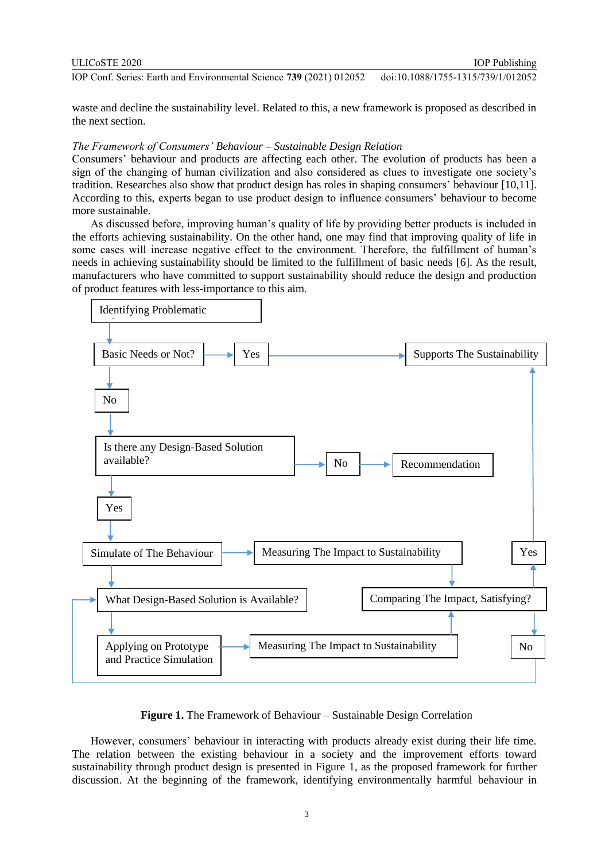| ULICoSTE 2020                                                       | <b>IOP</b> Publishing              |
|---------------------------------------------------------------------|------------------------------------|
| IOP Conf. Series: Earth and Environmental Science 739 (2021) 012052 | doi:10.1088/1755-1315/739/1/012052 |

waste and decline the sustainability level. Related to this, a new framework is proposed as described in the next section.

## *The Framework of Consumers' Behaviour – Sustainable Design Relation*

Consumers' behaviour and products are affecting each other. The evolution of products has been a sign of the changing of human civilization and also considered as clues to investigate one society's tradition. Researches also show that product design has roles in shaping consumers' behaviour [10,11]. According to this, experts began to use product design to influence consumers' behaviour to become more sustainable.

As discussed before, improving human's quality of life by providing better products is included in the efforts achieving sustainability. On the other hand, one may find that improving quality of life in some cases will increase negative effect to the environment. Therefore, the fulfillment of human's needs in achieving sustainability should be limited to the fulfillment of basic needs [6]. As the result, manufacturers who have committed to support sustainability should reduce the design and production of product features with less-importance to this aim.



**Figure 1.** The Framework of Behaviour – Sustainable Design Correlation

However, consumers' behaviour in interacting with products already exist during their life time. The relation between the existing behaviour in a society and the improvement efforts toward sustainability through product design is presented in Figure 1, as the proposed framework for further discussion. At the beginning of the framework, identifying environmentally harmful behaviour in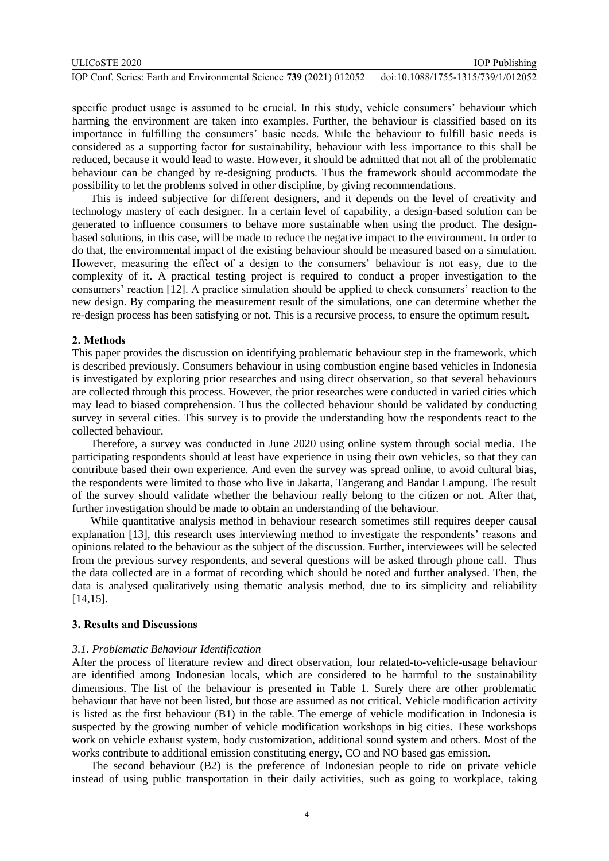| ULICoSTE 2020                                                       | <b>IOP</b> Publishing              |
|---------------------------------------------------------------------|------------------------------------|
| IOP Conf. Series: Earth and Environmental Science 739 (2021) 012052 | doi:10.1088/1755-1315/739/1/012052 |

specific product usage is assumed to be crucial. In this study, vehicle consumers' behaviour which harming the environment are taken into examples. Further, the behaviour is classified based on its importance in fulfilling the consumers' basic needs. While the behaviour to fulfill basic needs is considered as a supporting factor for sustainability, behaviour with less importance to this shall be reduced, because it would lead to waste. However, it should be admitted that not all of the problematic behaviour can be changed by re-designing products. Thus the framework should accommodate the possibility to let the problems solved in other discipline, by giving recommendations.

This is indeed subjective for different designers, and it depends on the level of creativity and technology mastery of each designer. In a certain level of capability, a design-based solution can be generated to influence consumers to behave more sustainable when using the product. The designbased solutions, in this case, will be made to reduce the negative impact to the environment. In order to do that, the environmental impact of the existing behaviour should be measured based on a simulation. However, measuring the effect of a design to the consumers' behaviour is not easy, due to the complexity of it. A practical testing project is required to conduct a proper investigation to the consumers' reaction [12]. A practice simulation should be applied to check consumers' reaction to the new design. By comparing the measurement result of the simulations, one can determine whether the re-design process has been satisfying or not. This is a recursive process, to ensure the optimum result.

#### **2. Methods**

This paper provides the discussion on identifying problematic behaviour step in the framework, which is described previously. Consumers behaviour in using combustion engine based vehicles in Indonesia is investigated by exploring prior researches and using direct observation, so that several behaviours are collected through this process. However, the prior researches were conducted in varied cities which may lead to biased comprehension. Thus the collected behaviour should be validated by conducting survey in several cities. This survey is to provide the understanding how the respondents react to the collected behaviour.

Therefore, a survey was conducted in June 2020 using online system through social media. The participating respondents should at least have experience in using their own vehicles, so that they can contribute based their own experience. And even the survey was spread online, to avoid cultural bias, the respondents were limited to those who live in Jakarta, Tangerang and Bandar Lampung. The result of the survey should validate whether the behaviour really belong to the citizen or not. After that, further investigation should be made to obtain an understanding of the behaviour.

While quantitative analysis method in behaviour research sometimes still requires deeper causal explanation [13], this research uses interviewing method to investigate the respondents' reasons and opinions related to the behaviour as the subject of the discussion. Further, interviewees will be selected from the previous survey respondents, and several questions will be asked through phone call. Thus the data collected are in a format of recording which should be noted and further analysed. Then, the data is analysed qualitatively using thematic analysis method, due to its simplicity and reliability [14,15].

### **3. Results and Discussions**

#### *3.1. Problematic Behaviour Identification*

After the process of literature review and direct observation, four related-to-vehicle-usage behaviour are identified among Indonesian locals, which are considered to be harmful to the sustainability dimensions. The list of the behaviour is presented in Table 1. Surely there are other problematic behaviour that have not been listed, but those are assumed as not critical. Vehicle modification activity is listed as the first behaviour (B1) in the table. The emerge of vehicle modification in Indonesia is suspected by the growing number of vehicle modification workshops in big cities. These workshops work on vehicle exhaust system, body customization, additional sound system and others. Most of the works contribute to additional emission constituting energy, CO and NO based gas emission.

The second behaviour (B2) is the preference of Indonesian people to ride on private vehicle instead of using public transportation in their daily activities, such as going to workplace, taking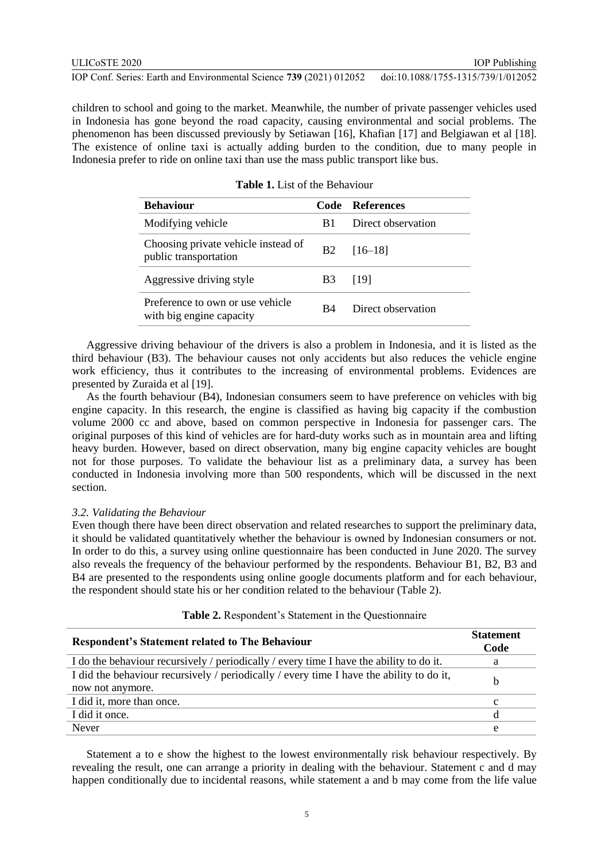children to school and going to the market. Meanwhile, the number of private passenger vehicles used in Indonesia has gone beyond the road capacity, causing environmental and social problems. The phenomenon has been discussed previously by Setiawan [16], Khafian [17] and Belgiawan et al [18]. The existence of online taxi is actually adding burden to the condition, due to many people in Indonesia prefer to ride on online taxi than use the mass public transport like bus.

| <b>Behaviour</b>                                             |                | Code References    |
|--------------------------------------------------------------|----------------|--------------------|
| Modifying vehicle                                            | B1             | Direct observation |
| Choosing private vehicle instead of<br>public transportation | <b>B2</b>      | $[16-18]$          |
| Aggressive driving style                                     | B <sub>3</sub> | [19]               |
| Preference to own or use vehicle<br>with big engine capacity | R4             | Direct observation |

**Table 1.** List of the Behaviour

Aggressive driving behaviour of the drivers is also a problem in Indonesia, and it is listed as the third behaviour (B3). The behaviour causes not only accidents but also reduces the vehicle engine work efficiency, thus it contributes to the increasing of environmental problems. Evidences are presented by Zuraida et al [19].

As the fourth behaviour (B4), Indonesian consumers seem to have preference on vehicles with big engine capacity. In this research, the engine is classified as having big capacity if the combustion volume 2000 cc and above, based on common perspective in Indonesia for passenger cars. The original purposes of this kind of vehicles are for hard-duty works such as in mountain area and lifting heavy burden. However, based on direct observation, many big engine capacity vehicles are bought not for those purposes. To validate the behaviour list as a preliminary data, a survey has been conducted in Indonesia involving more than 500 respondents, which will be discussed in the next section.

### *3.2. Validating the Behaviour*

Even though there have been direct observation and related researches to support the preliminary data, it should be validated quantitatively whether the behaviour is owned by Indonesian consumers or not. In order to do this, a survey using online questionnaire has been conducted in June 2020. The survey also reveals the frequency of the behaviour performed by the respondents. Behaviour B1, B2, B3 and B4 are presented to the respondents using online google documents platform and for each behaviour, the respondent should state his or her condition related to the behaviour (Table 2).

| <b>Respondent's Statement related to The Behaviour</b>                                                       | <b>Statement</b><br>Code |
|--------------------------------------------------------------------------------------------------------------|--------------------------|
| I do the behaviour recursively / periodically / every time I have the ability to do it.                      | a                        |
| I did the behaviour recursively / periodically / every time I have the ability to do it,<br>now not anymore. | b                        |
| I did it, more than once.                                                                                    | $\mathbf c$              |
| I did it once.                                                                                               | d                        |
| Never                                                                                                        | e                        |

## **Table 2.** Respondent's Statement in the Questionnaire

Statement a to e show the highest to the lowest environmentally risk behaviour respectively. By revealing the result, one can arrange a priority in dealing with the behaviour. Statement c and d may happen conditionally due to incidental reasons, while statement a and b may come from the life value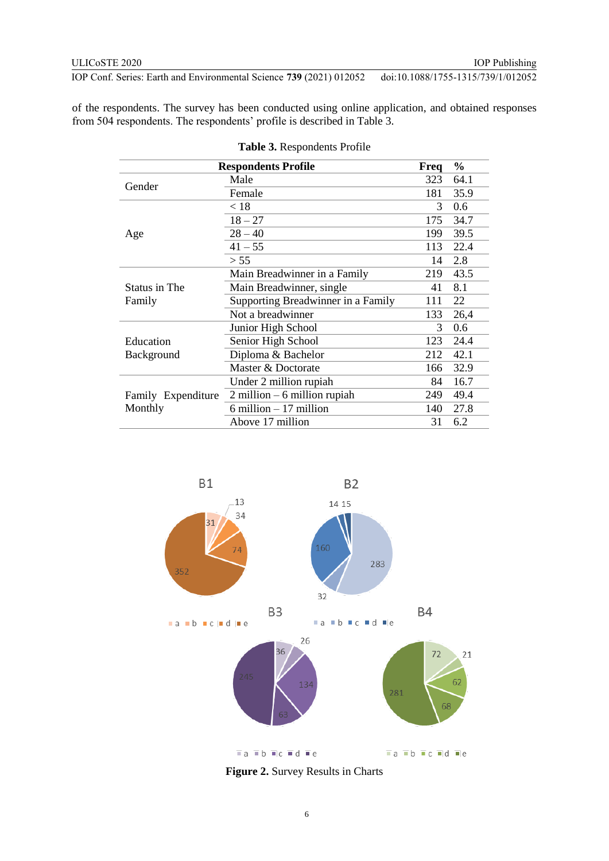of the respondents. The survey has been conducted using online application, and obtained responses from 504 respondents. The respondents' profile is described in Table 3.

| <b>Respondents Profile</b> |                                    | Freq | $\frac{6}{9}$ |
|----------------------------|------------------------------------|------|---------------|
| Gender                     | Male                               | 323  | 64.1          |
|                            | Female                             | 181  | 35.9          |
|                            | < 18                               | 3    | 0.6           |
|                            | $18 - 27$                          | 175  | 34.7          |
| Age                        | $28 - 40$                          | 199  | 39.5          |
|                            | $41 - 55$                          | 113  | 22.4          |
|                            | > 55                               | 14   | 2.8           |
|                            | Main Breadwinner in a Family       | 219  | 43.5          |
| Status in The              | Main Breadwinner, single           | 41   | 8.1           |
| Family                     | Supporting Breadwinner in a Family | 111  | 22            |
|                            | Not a breadwinner                  | 133  | 26,4          |
|                            | Junior High School                 | 3    | 0.6           |
| Education                  | Senior High School                 | 123  | 24.4          |
| Background                 | Diploma & Bachelor                 | 212  | 42.1          |
|                            | Master & Doctorate                 | 166  | 32.9          |
|                            | Under 2 million rupiah             | 84   | 16.7          |
| Family Expenditure         | $2$ million $-6$ million rupiah    | 249  | 49.4          |
| Monthly                    | $6$ million $-17$ million          | 140  | 27.8          |
|                            | Above 17 million                   | 31   | 6.2           |

**Table 3.** Respondents Profile



**Figure 2.** Survey Results in Charts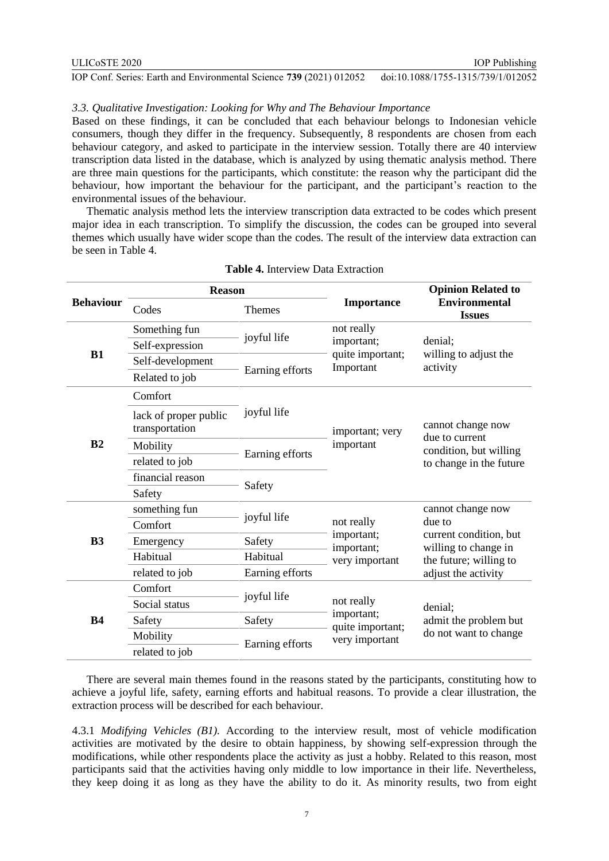# *3.3. Qualitative Investigation: Looking for Why and The Behaviour Importance*

Based on these findings, it can be concluded that each behaviour belongs to Indonesian vehicle consumers, though they differ in the frequency. Subsequently, 8 respondents are chosen from each behaviour category, and asked to participate in the interview session. Totally there are 40 interview transcription data listed in the database, which is analyzed by using thematic analysis method. There are three main questions for the participants, which constitute: the reason why the participant did the behaviour, how important the behaviour for the participant, and the participant's reaction to the environmental issues of the behaviour.

Thematic analysis method lets the interview transcription data extracted to be codes which present major idea in each transcription. To simplify the discussion, the codes can be grouped into several themes which usually have wider scope than the codes. The result of the interview data extraction can be seen in Table 4.

| <b>Behaviour</b> | <b>Reason</b>                           |                 |                                                           | <b>Opinion Related to</b>                                                                |  |
|------------------|-----------------------------------------|-----------------|-----------------------------------------------------------|------------------------------------------------------------------------------------------|--|
|                  | Codes                                   | <b>Themes</b>   | <b>Importance</b>                                         | <b>Environmental</b><br><b>Issues</b>                                                    |  |
| B1               | Something fun                           |                 | not really<br>important;<br>quite important;<br>Important | denial;<br>willing to adjust the<br>activity                                             |  |
|                  | Self-expression                         | joyful life     |                                                           |                                                                                          |  |
|                  | Self-development                        |                 |                                                           |                                                                                          |  |
|                  | Related to job                          | Earning efforts |                                                           |                                                                                          |  |
|                  | Comfort                                 |                 | important; very<br>important                              | cannot change now<br>due to current<br>condition, but willing<br>to change in the future |  |
|                  | lack of proper public<br>transportation | joyful life     |                                                           |                                                                                          |  |
| B <sub>2</sub>   | Mobility                                |                 |                                                           |                                                                                          |  |
|                  | related to job                          | Earning efforts |                                                           |                                                                                          |  |
|                  | financial reason                        | Safety          |                                                           |                                                                                          |  |
|                  | Safety                                  |                 |                                                           |                                                                                          |  |
|                  | something fun                           | joyful life     | not really                                                | cannot change now                                                                        |  |
|                  | Comfort                                 |                 |                                                           | due to                                                                                   |  |
| B <sub>3</sub>   | Emergency                               | Safety          | important;<br>important;                                  | current condition, but<br>willing to change in<br>the future; willing to                 |  |
|                  | Habitual                                | Habitual        | very important                                            |                                                                                          |  |
|                  | related to job                          | Earning efforts |                                                           | adjust the activity                                                                      |  |
| <b>B4</b>        | Comfort                                 | joyful life     | not really<br>important;                                  | denial;<br>admit the problem but<br>do not want to change                                |  |
|                  | Social status                           |                 |                                                           |                                                                                          |  |
|                  | Safety                                  | Safety          | quite important;                                          |                                                                                          |  |
|                  | Mobility                                | Earning efforts | very important                                            |                                                                                          |  |
|                  | related to job                          |                 |                                                           |                                                                                          |  |

## **Table 4.** Interview Data Extraction

There are several main themes found in the reasons stated by the participants, constituting how to achieve a joyful life, safety, earning efforts and habitual reasons. To provide a clear illustration, the extraction process will be described for each behaviour.

4.3.1 *Modifying Vehicles (B1).* According to the interview result, most of vehicle modification activities are motivated by the desire to obtain happiness, by showing self-expression through the modifications, while other respondents place the activity as just a hobby. Related to this reason, most participants said that the activities having only middle to low importance in their life. Nevertheless, they keep doing it as long as they have the ability to do it. As minority results, two from eight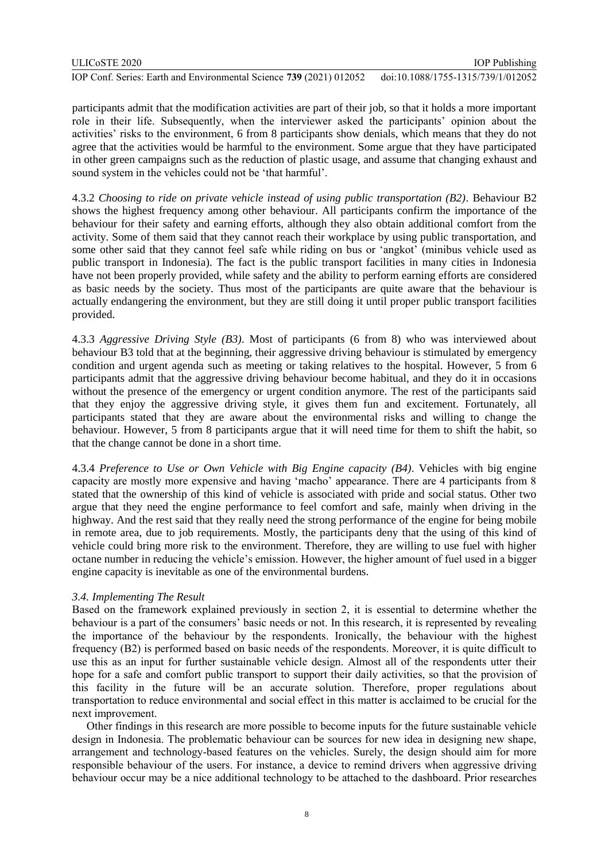participants admit that the modification activities are part of their job, so that it holds a more important role in their life. Subsequently, when the interviewer asked the participants' opinion about the activities' risks to the environment, 6 from 8 participants show denials, which means that they do not agree that the activities would be harmful to the environment. Some argue that they have participated in other green campaigns such as the reduction of plastic usage, and assume that changing exhaust and sound system in the vehicles could not be 'that harmful'.

4.3.2 *Choosing to ride on private vehicle instead of using public transportation (B2)*. Behaviour B2 shows the highest frequency among other behaviour. All participants confirm the importance of the behaviour for their safety and earning efforts, although they also obtain additional comfort from the activity. Some of them said that they cannot reach their workplace by using public transportation, and some other said that they cannot feel safe while riding on bus or 'angkot' (minibus vehicle used as public transport in Indonesia). The fact is the public transport facilities in many cities in Indonesia have not been properly provided, while safety and the ability to perform earning efforts are considered as basic needs by the society. Thus most of the participants are quite aware that the behaviour is actually endangering the environment, but they are still doing it until proper public transport facilities provided.

4.3.3 *Aggressive Driving Style (B3)*. Most of participants (6 from 8) who was interviewed about behaviour B3 told that at the beginning, their aggressive driving behaviour is stimulated by emergency condition and urgent agenda such as meeting or taking relatives to the hospital. However, 5 from 6 participants admit that the aggressive driving behaviour become habitual, and they do it in occasions without the presence of the emergency or urgent condition anymore. The rest of the participants said that they enjoy the aggressive driving style, it gives them fun and excitement. Fortunately, all participants stated that they are aware about the environmental risks and willing to change the behaviour. However, 5 from 8 participants argue that it will need time for them to shift the habit, so that the change cannot be done in a short time.

4.3.4 *Preference to Use or Own Vehicle with Big Engine capacity (B4)*. Vehicles with big engine capacity are mostly more expensive and having 'macho' appearance. There are 4 participants from 8 stated that the ownership of this kind of vehicle is associated with pride and social status. Other two argue that they need the engine performance to feel comfort and safe, mainly when driving in the highway. And the rest said that they really need the strong performance of the engine for being mobile in remote area, due to job requirements. Mostly, the participants deny that the using of this kind of vehicle could bring more risk to the environment. Therefore, they are willing to use fuel with higher octane number in reducing the vehicle's emission. However, the higher amount of fuel used in a bigger engine capacity is inevitable as one of the environmental burdens.

## *3.4. Implementing The Result*

Based on the framework explained previously in section 2, it is essential to determine whether the behaviour is a part of the consumers' basic needs or not. In this research, it is represented by revealing the importance of the behaviour by the respondents. Ironically, the behaviour with the highest frequency (B2) is performed based on basic needs of the respondents. Moreover, it is quite difficult to use this as an input for further sustainable vehicle design. Almost all of the respondents utter their hope for a safe and comfort public transport to support their daily activities, so that the provision of this facility in the future will be an accurate solution. Therefore, proper regulations about transportation to reduce environmental and social effect in this matter is acclaimed to be crucial for the next improvement.

Other findings in this research are more possible to become inputs for the future sustainable vehicle design in Indonesia. The problematic behaviour can be sources for new idea in designing new shape, arrangement and technology-based features on the vehicles. Surely, the design should aim for more responsible behaviour of the users. For instance, a device to remind drivers when aggressive driving behaviour occur may be a nice additional technology to be attached to the dashboard. Prior researches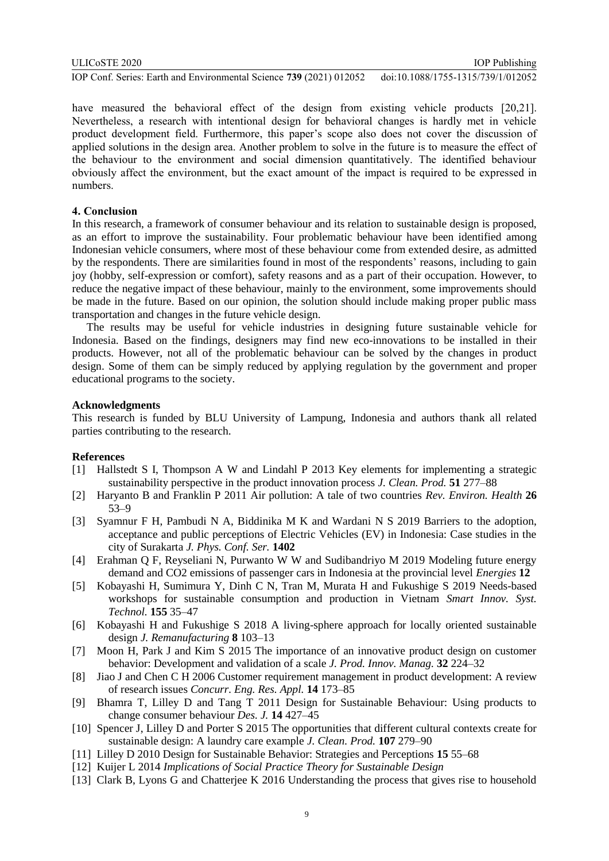have measured the behavioral effect of the design from existing vehicle products [20,21]. Nevertheless, a research with intentional design for behavioral changes is hardly met in vehicle product development field. Furthermore, this paper's scope also does not cover the discussion of applied solutions in the design area. Another problem to solve in the future is to measure the effect of the behaviour to the environment and social dimension quantitatively. The identified behaviour obviously affect the environment, but the exact amount of the impact is required to be expressed in numbers.

## **4. Conclusion**

In this research, a framework of consumer behaviour and its relation to sustainable design is proposed, as an effort to improve the sustainability. Four problematic behaviour have been identified among Indonesian vehicle consumers, where most of these behaviour come from extended desire, as admitted by the respondents. There are similarities found in most of the respondents' reasons, including to gain joy (hobby, self-expression or comfort), safety reasons and as a part of their occupation. However, to reduce the negative impact of these behaviour, mainly to the environment, some improvements should be made in the future. Based on our opinion, the solution should include making proper public mass transportation and changes in the future vehicle design.

The results may be useful for vehicle industries in designing future sustainable vehicle for Indonesia. Based on the findings, designers may find new eco-innovations to be installed in their products. However, not all of the problematic behaviour can be solved by the changes in product design. Some of them can be simply reduced by applying regulation by the government and proper educational programs to the society.

#### **Acknowledgments**

This research is funded by BLU University of Lampung, Indonesia and authors thank all related parties contributing to the research.

#### **References**

- [1] Hallstedt S I, Thompson A W and Lindahl P 2013 Key elements for implementing a strategic sustainability perspective in the product innovation process *J. Clean. Prod.* **51** 277–88
- [2] Haryanto B and Franklin P 2011 Air pollution: A tale of two countries *Rev. Environ. Health* **26** 53–9
- [3] Syamnur F H, Pambudi N A, Biddinika M K and Wardani N S 2019 Barriers to the adoption, acceptance and public perceptions of Electric Vehicles (EV) in Indonesia: Case studies in the city of Surakarta *J. Phys. Conf. Ser.* **1402**
- [4] Erahman Q F, Reyseliani N, Purwanto W W and Sudibandriyo M 2019 Modeling future energy demand and CO2 emissions of passenger cars in Indonesia at the provincial level *Energies* **12**
- [5] Kobayashi H, Sumimura Y, Dinh C N, Tran M, Murata H and Fukushige S 2019 Needs-based workshops for sustainable consumption and production in Vietnam *Smart Innov. Syst. Technol.* **155** 35–47
- [6] Kobayashi H and Fukushige S 2018 A living-sphere approach for locally oriented sustainable design *J. Remanufacturing* **8** 103–13
- [7] Moon H, Park J and Kim S 2015 The importance of an innovative product design on customer behavior: Development and validation of a scale *J. Prod. Innov. Manag.* **32** 224–32
- [8] Jiao J and Chen C H 2006 Customer requirement management in product development: A review of research issues *Concurr. Eng. Res. Appl.* **14** 173–85
- [9] Bhamra T, Lilley D and Tang T 2011 Design for Sustainable Behaviour: Using products to change consumer behaviour *Des. J.* **14** 427–45
- [10] Spencer J, Lilley D and Porter S 2015 The opportunities that different cultural contexts create for sustainable design: A laundry care example *J. Clean. Prod.* **107** 279–90
- [11] Lilley D 2010 Design for Sustainable Behavior: Strategies and Perceptions **15** 55–68
- [12] Kuijer L 2014 *Implications of Social Practice Theory for Sustainable Design*
- [13] Clark B, Lyons G and Chatterjee K 2016 Understanding the process that gives rise to household